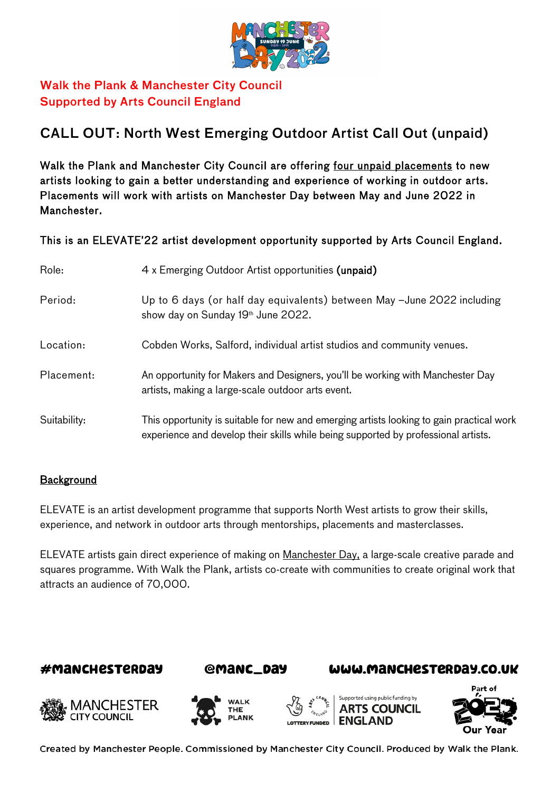

# Walk the Plank & Manchester City Council Supported by Arts Council England

# CALL OUT: North West Emerging Outdoor Artist Call Out (unpaid)

Walk the Plank and Manchester City Council are offering four unpaid placements to new artists looking to gain a better understanding and experience of working in outdoor arts. Placements will work with artists on Manchester Day between May and June 2022 in Manchester.

This is an ELEVATE'22 artist development opportunity supported by Arts Council England.

| Role:        | 4 x Emerging Outdoor Artist opportunities (unpaid)                                                                                                                             |
|--------------|--------------------------------------------------------------------------------------------------------------------------------------------------------------------------------|
| Period:      | Up to 6 days (or half day equivalents) between May -June 2022 including<br>show day on Sunday 19 <sup>th</sup> June 2022.                                                      |
| Location:    | Cobden Works, Salford, individual artist studios and community venues.                                                                                                         |
| Placement:   | An opportunity for Makers and Designers, you'll be working with Manchester Day<br>artists, making a large-scale outdoor arts event.                                            |
| Suitability: | This opportunity is suitable for new and emerging artists looking to gain practical work<br>experience and develop their skills while being supported by professional artists. |

#### **Background**

ELEVATE is an artist development programme that supports North West artists to grow their skills, experience, and network in outdoor arts through mentorships, placements and masterclasses.

ELEVATE artists gain direct experience of making on [Manchester Day,](http://www.manchesterday.co.uk/) a large-scale creative parade and squares programme. With Walk the Plank, artists co-create with communities to create original work that attracts an audience of 70,000.

### #MANCHESTERDAY



### WWW.MANCHESTERDAY.CO.UK











Created by Manchester People. Commissioned by Manchester City Council. Produced by Walk the Plank.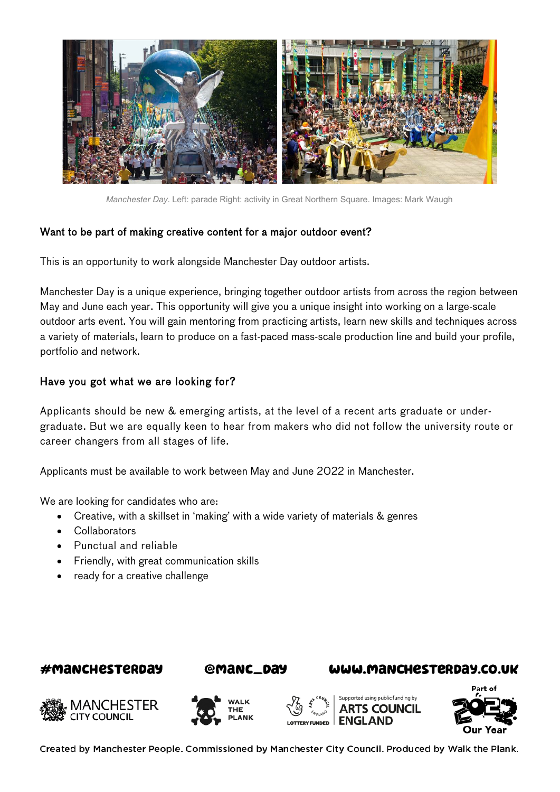

*Manchester Day*. Left: parade Right: activity in Great Northern Square. Images: Mark Waugh

### Want to be part of making creative content for a major outdoor event?

This is an opportunity to work alongside Manchester Day outdoor artists.

Manchester Day is a unique experience, bringing together outdoor artists from across the region between May and June each year. This opportunity will give you a unique insight into working on a large-scale outdoor arts event. You will gain mentoring from practicing artists, learn new skills and techniques across a variety of materials, learn to produce on a fast-paced mass-scale production line and build your profile, portfolio and network.

## Have you got what we are looking for?

Applicants should be new & emerging artists, at the level of a recent arts graduate or undergraduate. But we are equally keen to hear from makers who did not follow the university route or career changers from all stages of life.

Applicants must be available to work between May and June 2022 in Manchester.

We are looking for candidates who are:

- Creative, with a skillset in 'making' with a wide variety of materials & genres
- Collaborators
- Punctual and reliable
- Friendly, with great communication skills
- ready for a creative challenge

## #MANCHESTERDAY



### WWW.MANCHESTERDAY.CO.UK











Created by Manchester People. Commissioned by Manchester City Council. Produced by Walk the Plank.